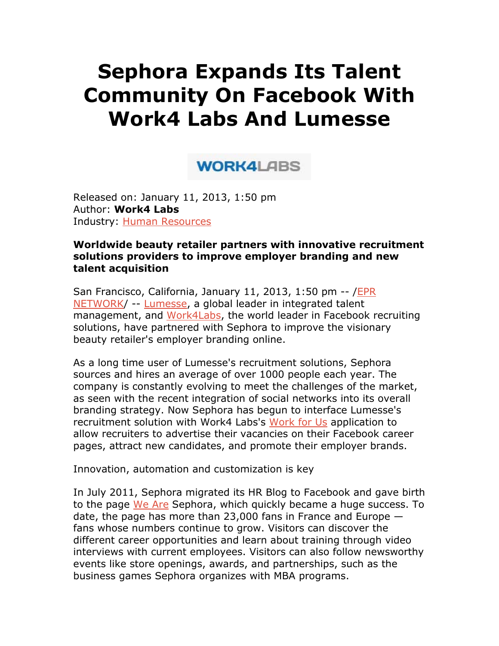# **Sephora Expands Its Talent Community On Facebook With Work4 Labs And Lumesse**

## **WORK4LABS**

Released on: January 11, 2013, 1:50 pm Author: **Work4 Labs** Industry: Human Resources

#### **Worldwide beauty retailer partners with innovative recruitment solutions providers to improve employer branding and new talent acquisition**

San Francisco, California, January 11, 2013, 1:50 pm -- /EPR NETWORK/ -- Lumesse, a global leader in integrated talent management, and Work4Labs, the world leader in Facebook recruiting solutions, have partnered with Sephora to improve the visionary beauty retailer's employer branding online.

As a long time user of Lumesse's recruitment solutions, Sephora sources and hires an average of over 1000 people each year. The company is constantly evolving to meet the challenges of the market, as seen with the recent integration of social networks into its overall branding strategy. Now Sephora has begun to interface Lumesse's recruitment solution with Work4 Labs's Work for Us application to allow recruiters to advertise their vacancies on their Facebook career pages, attract new candidates, and promote their employer brands.

Innovation, automation and customization is key

In July 2011, Sephora migrated its HR Blog to Facebook and gave birth to the page We Are Sephora, which quickly became a huge success. To date, the page has more than 23,000 fans in France and Europe  $$ fans whose numbers continue to grow. Visitors can discover the different career opportunities and learn about training through video interviews with current employees. Visitors can also follow newsworthy events like store openings, awards, and partnerships, such as the business games Sephora organizes with MBA programs.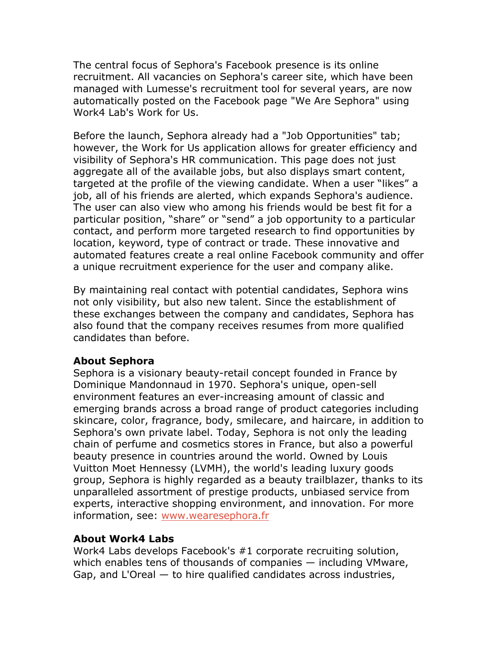The central focus of Sephora's Facebook presence is its online recruitment. All vacancies on Sephora's career site, which have been managed with Lumesse's recruitment tool for several years, are now automatically posted on the Facebook page "We Are Sephora" using Work4 Lab's Work for Us.

Before the launch, Sephora already had a "Job Opportunities" tab; however, the Work for Us application allows for greater efficiency and visibility of Sephora's HR communication. This page does not just aggregate all of the available jobs, but also displays smart content, targeted at the profile of the viewing candidate. When a user "likes" a job, all of his friends are alerted, which expands Sephora's audience. The user can also view who among his friends would be best fit for a particular position, "share" or "send" a job opportunity to a particular contact, and perform more targeted research to find opportunities by location, keyword, type of contract or trade. These innovative and automated features create a real online Facebook community and offer a unique recruitment experience for the user and company alike.

By maintaining real contact with potential candidates, Sephora wins not only visibility, but also new talent. Since the establishment of these exchanges between the company and candidates, Sephora has also found that the company receives resumes from more qualified candidates than before.

### **About Sephora**

Sephora is a visionary beauty-retail concept founded in France by Dominique Mandonnaud in 1970. Sephora's unique, open-sell environment features an ever-increasing amount of classic and emerging brands across a broad range of product categories including skincare, color, fragrance, body, smilecare, and haircare, in addition to Sephora's own private label. Today, Sephora is not only the leading chain of perfume and cosmetics stores in France, but also a powerful beauty presence in countries around the world. Owned by Louis Vuitton Moet Hennessy (LVMH), the world's leading luxury goods group, Sephora is highly regarded as a beauty trailblazer, thanks to its unparalleled assortment of prestige products, unbiased service from experts, interactive shopping environment, and innovation. For more information, see: www.wearesephora.fr

### **About Work4 Labs**

Work4 Labs develops Facebook's #1 corporate recruiting solution, which enables tens of thousands of companies — including VMware, Gap, and L'Oreal  $-$  to hire qualified candidates across industries,